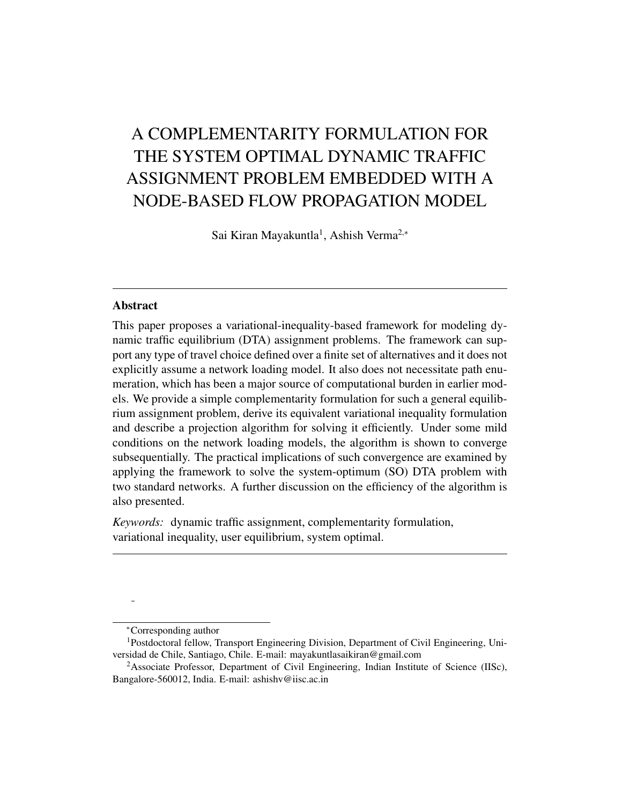# A COMPLEMENTARITY FORMULATION FOR THE SYSTEM OPTIMAL DYNAMIC TRAFFIC ASSIGNMENT PROBLEM EMBEDDED WITH A NODE-BASED FLOW PROPAGATION MODEL

Sai Kiran Mayakuntla<sup>1</sup>, Ashish Verma<sup>2,∗</sup>

#### Abstract

This paper proposes a variational-inequality-based framework for modeling dynamic traffic equilibrium (DTA) assignment problems. The framework can support any type of travel choice defined over a finite set of alternatives and it does not explicitly assume a network loading model. It also does not necessitate path enumeration, which has been a major source of computational burden in earlier models. We provide a simple complementarity formulation for such a general equilibrium assignment problem, derive its equivalent variational inequality formulation and describe a projection algorithm for solving it efficiently. Under some mild conditions on the network loading models, the algorithm is shown to converge subsequentially. The practical implications of such convergence are examined by applying the framework to solve the system-optimum (SO) DTA problem with two standard networks. A further discussion on the efficiency of the algorithm is also presented.

*Keywords:* dynamic traffic assignment, complementarity formulation, variational inequality, user equilibrium, system optimal.

<sup>∗</sup>Corresponding author

<sup>1</sup>Postdoctoral fellow, Transport Engineering Division, Department of Civil Engineering, Universidad de Chile, Santiago, Chile. E-mail: mayakuntlasaikiran@gmail.com

<sup>&</sup>lt;sup>2</sup>Associate Professor, Department of Civil Engineering, Indian Institute of Science (IISc), Bangalore-560012, India. E-mail: ashishv@iisc.ac.in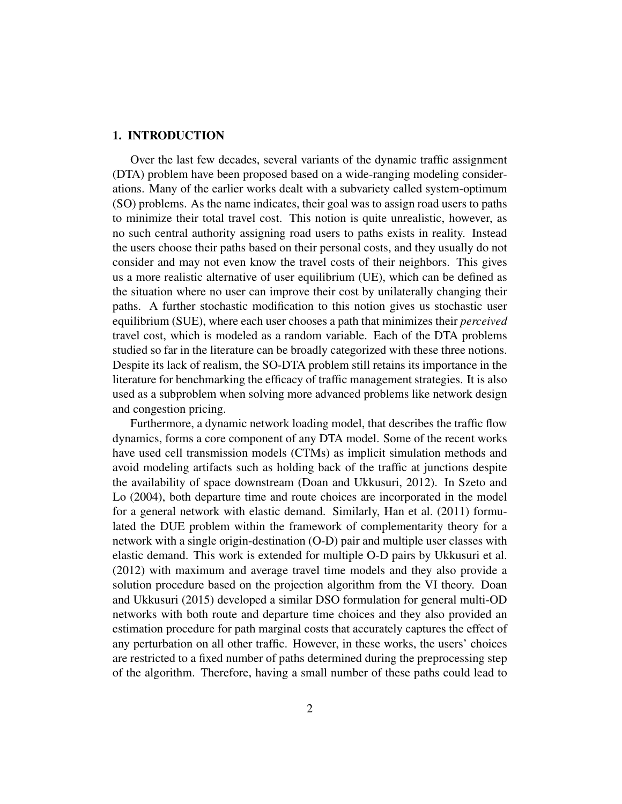#### 1. INTRODUCTION

Over the last few decades, several variants of the dynamic traffic assignment (DTA) problem have been proposed based on a wide-ranging modeling considerations. Many of the earlier works dealt with a subvariety called system-optimum (SO) problems. As the name indicates, their goal was to assign road users to paths to minimize their total travel cost. This notion is quite unrealistic, however, as no such central authority assigning road users to paths exists in reality. Instead the users choose their paths based on their personal costs, and they usually do not consider and may not even know the travel costs of their neighbors. This gives us a more realistic alternative of user equilibrium (UE), which can be defined as the situation where no user can improve their cost by unilaterally changing their paths. A further stochastic modification to this notion gives us stochastic user equilibrium (SUE), where each user chooses a path that minimizes their *perceived* travel cost, which is modeled as a random variable. Each of the DTA problems studied so far in the literature can be broadly categorized with these three notions. Despite its lack of realism, the SO-DTA problem still retains its importance in the literature for benchmarking the efficacy of traffic management strategies. It is also used as a subproblem when solving more advanced problems like network design and congestion pricing.

Furthermore, a dynamic network loading model, that describes the traffic flow dynamics, forms a core component of any DTA model. Some of the recent works have used cell transmission models (CTMs) as implicit simulation methods and avoid modeling artifacts such as holding back of the traffic at junctions despite the availability of space downstream (Doan and Ukkusuri, 2012). In Szeto and Lo (2004), both departure time and route choices are incorporated in the model for a general network with elastic demand. Similarly, Han et al. (2011) formulated the DUE problem within the framework of complementarity theory for a network with a single origin-destination (O-D) pair and multiple user classes with elastic demand. This work is extended for multiple O-D pairs by Ukkusuri et al. (2012) with maximum and average travel time models and they also provide a solution procedure based on the projection algorithm from the VI theory. Doan and Ukkusuri (2015) developed a similar DSO formulation for general multi-OD networks with both route and departure time choices and they also provided an estimation procedure for path marginal costs that accurately captures the effect of any perturbation on all other traffic. However, in these works, the users' choices are restricted to a fixed number of paths determined during the preprocessing step of the algorithm. Therefore, having a small number of these paths could lead to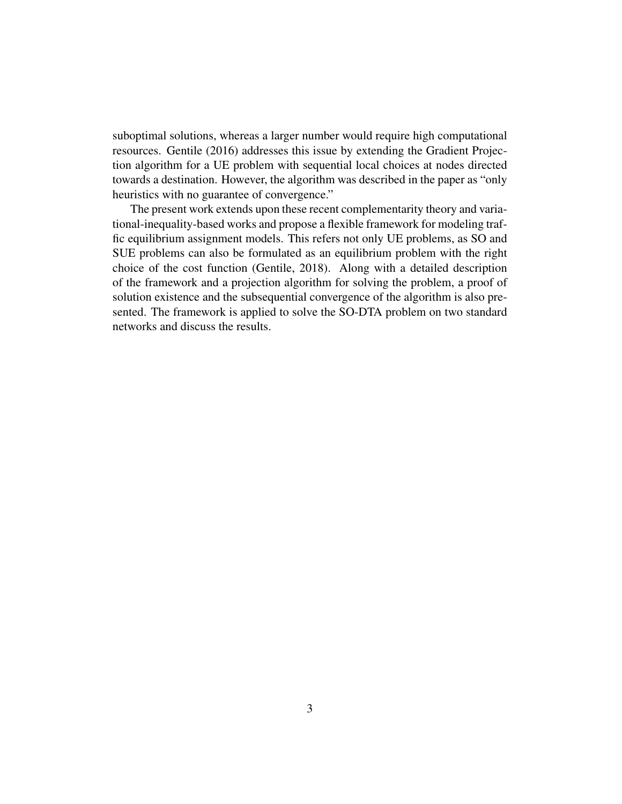suboptimal solutions, whereas a larger number would require high computational resources. Gentile (2016) addresses this issue by extending the Gradient Projection algorithm for a UE problem with sequential local choices at nodes directed towards a destination. However, the algorithm was described in the paper as "only heuristics with no guarantee of convergence."

The present work extends upon these recent complementarity theory and variational-inequality-based works and propose a flexible framework for modeling traffic equilibrium assignment models. This refers not only UE problems, as SO and SUE problems can also be formulated as an equilibrium problem with the right choice of the cost function (Gentile, 2018). Along with a detailed description of the framework and a projection algorithm for solving the problem, a proof of solution existence and the subsequential convergence of the algorithm is also presented. The framework is applied to solve the SO-DTA problem on two standard networks and discuss the results.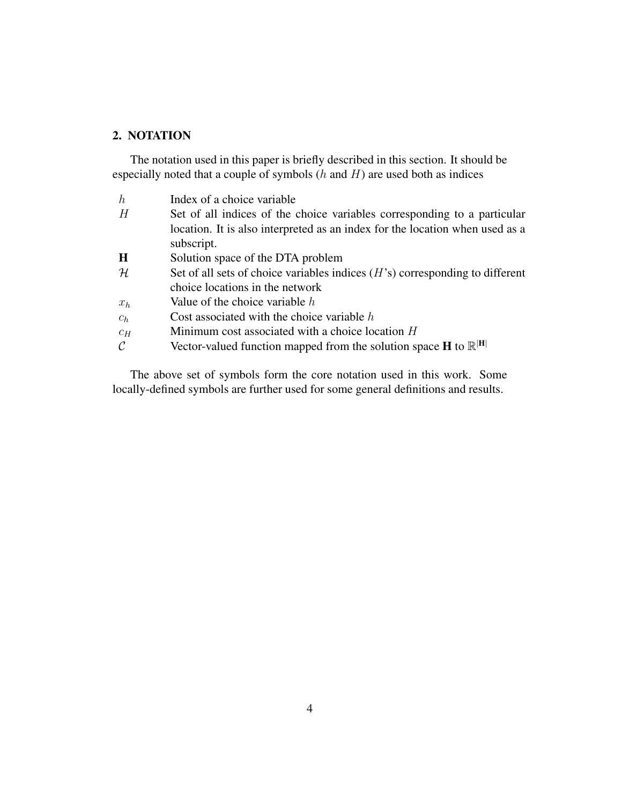## 2. NOTATION

The notation used in this paper is briefly described in this section. It should be especially noted that a couple of symbols  $(h \text{ and } H)$  are used both as indices

| $\boldsymbol{h}$ | Index of a choice variable                                                           |  |
|------------------|--------------------------------------------------------------------------------------|--|
| H                | Set of all indices of the choice variables corresponding to a particular             |  |
|                  | location. It is also interpreted as an index for the location when used as a         |  |
|                  | subscript.                                                                           |  |
| H                | Solution space of the DTA problem                                                    |  |
| $\mathcal H$     | Set of all sets of choice variables indices $(H's)$ corresponding to different       |  |
|                  | choice locations in the network                                                      |  |
| $x_h$            | Value of the choice variable $h$                                                     |  |
| $c_h$            | Cost associated with the choice variable $h$                                         |  |
| $c_H$            | Minimum cost associated with a choice location H                                     |  |
| $\mathcal{C}$    | Vector-valued function mapped from the solution space <b>H</b> to $\mathbb{R}^{ H }$ |  |
|                  |                                                                                      |  |

The above set of symbols form the core notation used in this work. Some locally-defined symbols are further used for some general definitions and results.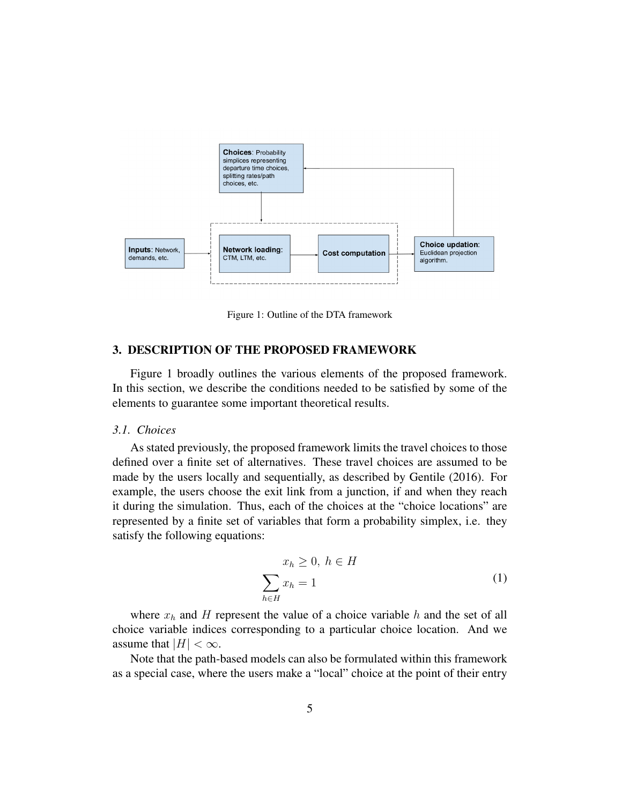

Figure 1: Outline of the DTA framework

## 3. DESCRIPTION OF THE PROPOSED FRAMEWORK

Figure 1 broadly outlines the various elements of the proposed framework. In this section, we describe the conditions needed to be satisfied by some of the elements to guarantee some important theoretical results.

## *3.1. Choices*

As stated previously, the proposed framework limits the travel choices to those defined over a finite set of alternatives. These travel choices are assumed to be made by the users locally and sequentially, as described by Gentile (2016). For example, the users choose the exit link from a junction, if and when they reach it during the simulation. Thus, each of the choices at the "choice locations" are represented by a finite set of variables that form a probability simplex, i.e. they satisfy the following equations:

$$
x_h \ge 0, h \in H
$$
  

$$
\sum_{h \in H} x_h = 1
$$
 (1)

where  $x_h$  and H represent the value of a choice variable h and the set of all choice variable indices corresponding to a particular choice location. And we assume that  $|H| < \infty$ .

Note that the path-based models can also be formulated within this framework as a special case, where the users make a "local" choice at the point of their entry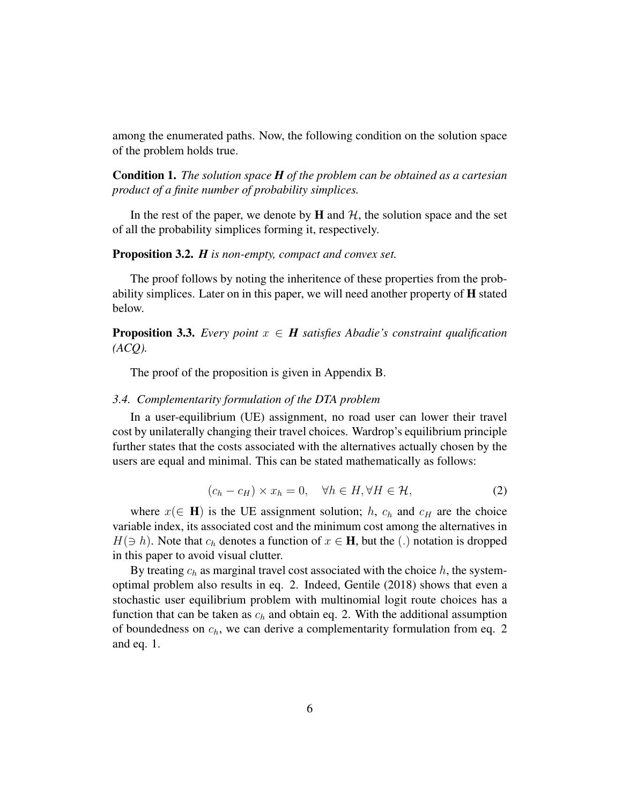among the enumerated paths. Now, the following condition on the solution space of the problem holds true.

Condition 1. *The solution space H of the problem can be obtained as a cartesian product of a finite number of probability simplices.*

In the rest of the paper, we denote by  $H$  and  $H$ , the solution space and the set of all the probability simplices forming it, respectively.

#### Proposition 3.2. *H is non-empty, compact and convex set.*

The proof follows by noting the inheritence of these properties from the probability simplices. Later on in this paper, we will need another property of  $\bf{H}$  stated below.

## **Proposition 3.3.** *Every point*  $x \in H$  *satisfies Abadie's constraint qualification (ACQ).*

The proof of the proposition is given in Appendix B.

#### *3.4. Complementarity formulation of the DTA problem*

In a user-equilibrium (UE) assignment, no road user can lower their travel cost by unilaterally changing their travel choices. Wardrop's equilibrium principle further states that the costs associated with the alternatives actually chosen by the users are equal and minimal. This can be stated mathematically as follows:

$$
(c_h - c_H) \times x_h = 0, \quad \forall h \in H, \forall H \in \mathcal{H}, \tag{2}
$$

where  $x \in H$ ) is the UE assignment solution; h,  $c_h$  and  $c_H$  are the choice variable index, its associated cost and the minimum cost among the alternatives in  $H(\ni h)$ . Note that  $c_h$  denotes a function of  $x \in \mathbf{H}$ , but the (.) notation is dropped in this paper to avoid visual clutter.

By treating  $c_h$  as marginal travel cost associated with the choice h, the systemoptimal problem also results in eq. 2. Indeed, Gentile (2018) shows that even a stochastic user equilibrium problem with multinomial logit route choices has a function that can be taken as  $c_h$  and obtain eq. 2. With the additional assumption of boundedness on  $c_h$ , we can derive a complementarity formulation from eq. 2 and eq. 1.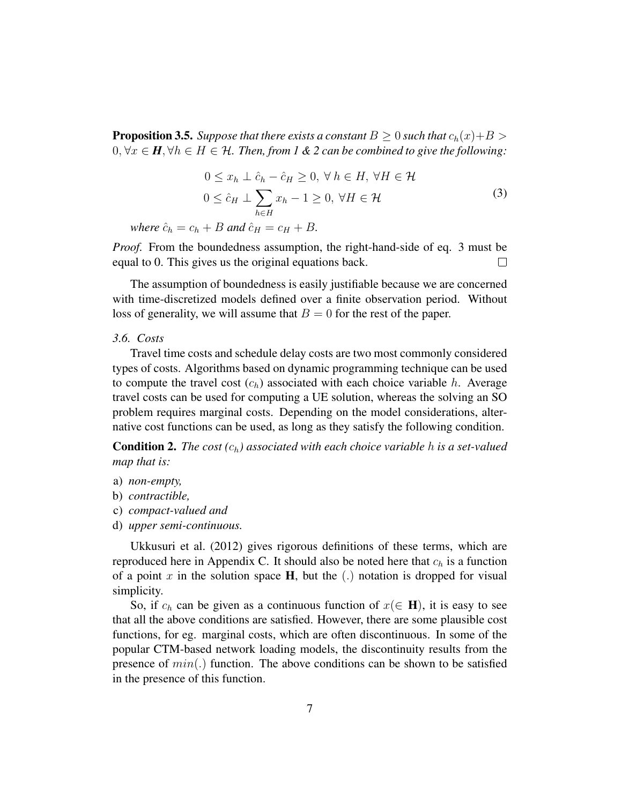**Proposition 3.5.** *Suppose that there exists a constant*  $B \geq 0$  *such that*  $c_h(x) + B \geq 0$ 0,  $\forall x \in H$ ,  $\forall h \in H \in \mathcal{H}$ . Then, from 1 & 2 can be combined to give the following:

$$
0 \le x_h \perp \hat{c}_h - \hat{c}_H \ge 0, \forall h \in H, \forall H \in \mathcal{H}
$$
  

$$
0 \le \hat{c}_H \perp \sum_{h \in H} x_h - 1 \ge 0, \forall H \in \mathcal{H}
$$
 (3)

*where*  $\hat{c}_h = c_h + B$  *and*  $\hat{c}_H = c_H + B$ *.* 

*Proof.* From the boundedness assumption, the right-hand-side of eq. 3 must be equal to 0. This gives us the original equations back.  $\Box$ 

The assumption of boundedness is easily justifiable because we are concerned with time-discretized models defined over a finite observation period. Without loss of generality, we will assume that  $B = 0$  for the rest of the paper.

#### *3.6. Costs*

Travel time costs and schedule delay costs are two most commonly considered types of costs. Algorithms based on dynamic programming technique can be used to compute the travel cost  $(c_h)$  associated with each choice variable h. Average travel costs can be used for computing a UE solution, whereas the solving an SO problem requires marginal costs. Depending on the model considerations, alternative cost functions can be used, as long as they satisfy the following condition.

Condition 2. *The cost (*ch*) associated with each choice variable* h *is a set-valued map that is:*

- a) *non-empty,*
- b) *contractible,*
- c) *compact-valued and*
- d) *upper semi-continuous.*

Ukkusuri et al. (2012) gives rigorous definitions of these terms, which are reproduced here in Appendix C. It should also be noted here that  $c_h$  is a function of a point x in the solution space  $H$ , but the (.) notation is dropped for visual simplicity.

So, if  $c_h$  can be given as a continuous function of  $x(\in \mathbf{H})$ , it is easy to see that all the above conditions are satisfied. However, there are some plausible cost functions, for eg. marginal costs, which are often discontinuous. In some of the popular CTM-based network loading models, the discontinuity results from the presence of  $min(.)$  function. The above conditions can be shown to be satisfied in the presence of this function.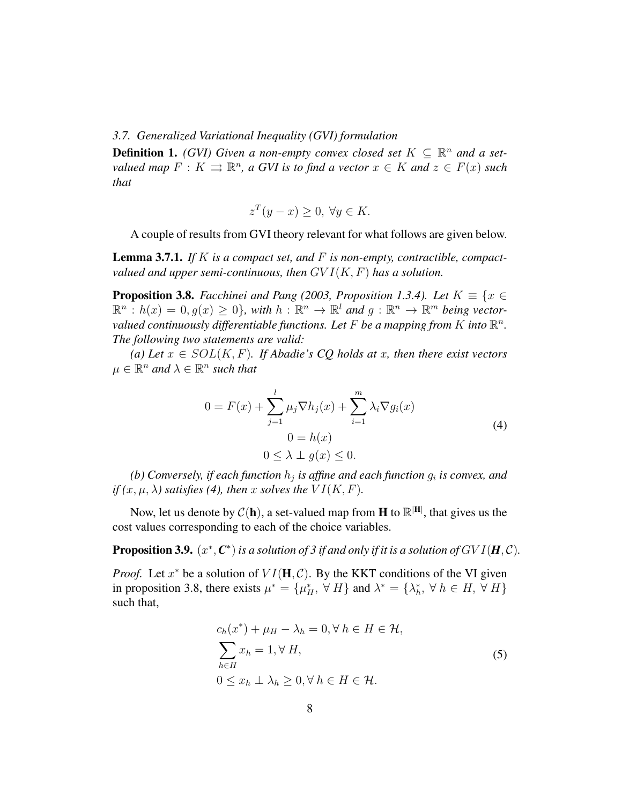*3.7. Generalized Variational Inequality (GVI) formulation*

**Definition 1.** *(GVI)* Given a non-empty convex closed set  $K \subseteq \mathbb{R}^n$  and a set*valued map*  $F: K \rightrightarrows \mathbb{R}^n$ , a GVI is to find a vector  $x \in K$  and  $z \in F(x)$  such *that*

$$
z^T(y - x) \ge 0, \,\forall y \in K.
$$

A couple of results from GVI theory relevant for what follows are given below.

Lemma 3.7.1. *If* K *is a compact set, and* F *is non-empty, contractible, compactvalued and upper semi-continuous, then* GV I(K, F) *has a solution.*

**Proposition 3.8.** *Facchinei and Pang (2003, Proposition 1.3.4). Let*  $K \equiv \{x \in \mathbb{R}^d : |f(x)| \leq K\}$  $\mathbb{R}^n$ :  $h(x) = 0, g(x) \geq 0$ , with  $h : \mathbb{R}^n \to \mathbb{R}^l$  and  $g : \mathbb{R}^n \to \mathbb{R}^m$  being vectorvalued continuously differentiable functions. Let F be a mapping from K into  $\mathbb{R}^n$ . *The following two statements are valid:*

*(a) Let* x ∈ SOL(K, F)*. If Abadie's CQ holds at* x*, then there exist vectors*  $\mu \in \mathbb{R}^n$  and  $\lambda \in \mathbb{R}^n$  such that

$$
0 = F(x) + \sum_{j=1}^{l} \mu_j \nabla h_j(x) + \sum_{i=1}^{m} \lambda_i \nabla g_i(x)
$$
  

$$
0 = h(x)
$$
  

$$
0 \le \lambda \perp g(x) \le 0.
$$
 (4)

(b) Conversely, if each function  $h_j$  is affine and each function  $g_i$  is convex, and *if*  $(x, \mu, \lambda)$  *satisfies* (4), then x *solves the*  $VI(K, F)$ *.* 

Now, let us denote by  $C(\mathbf{h})$ , a set-valued map from **H** to  $\mathbb{R}^{|H|}$ , that gives us the cost values corresponding to each of the choice variables.

**Proposition 3.9.**  $(x^*, C^*)$  is a solution of 3 if and only if it is a solution of  $GVI(\mathbf{H}, \mathcal{C})$ .

*Proof.* Let  $x^*$  be a solution of  $VI(\mathbf{H}, \mathcal{C})$ . By the KKT conditions of the VI given in proposition 3.8, there exists  $\mu^* = {\mu_H^*, \forall H}$  and  $\lambda^* = {\lambda_h^*, \forall h \in H, \forall H}$ such that,

$$
c_h(x^*) + \mu_H - \lambda_h = 0, \forall h \in H \in \mathcal{H},
$$
  

$$
\sum_{h \in H} x_h = 1, \forall H,
$$
  

$$
0 \le x_h \perp \lambda_h \ge 0, \forall h \in H \in \mathcal{H}.
$$
 (5)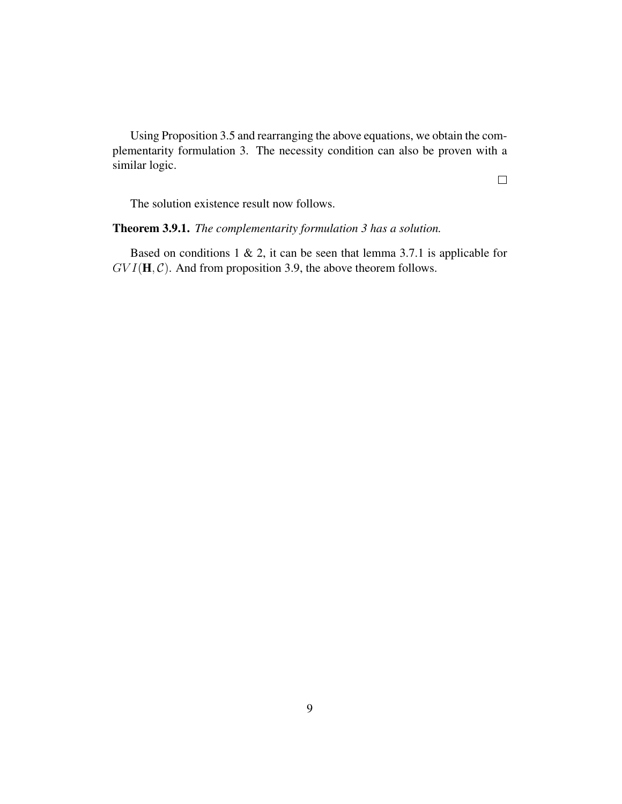Using Proposition 3.5 and rearranging the above equations, we obtain the complementarity formulation 3. The necessity condition can also be proven with a similar logic.

 $\Box$ 

The solution existence result now follows.

## Theorem 3.9.1. *The complementarity formulation 3 has a solution.*

Based on conditions  $1 \& 2$ , it can be seen that lemma 3.7.1 is applicable for  $GVI(\mathbf{H}, \mathcal{C})$ . And from proposition 3.9, the above theorem follows.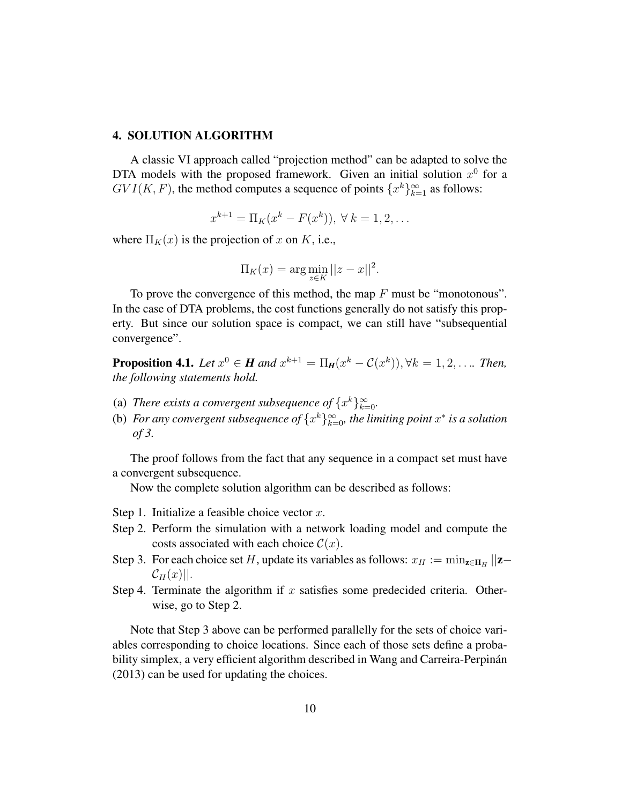#### 4. SOLUTION ALGORITHM

A classic VI approach called "projection method" can be adapted to solve the DTA models with the proposed framework. Given an initial solution  $x^0$  for a  $GVI(K, F)$ , the method computes a sequence of points  $\{x^k\}_{k=1}^{\infty}$  as follows:

$$
x^{k+1} = \Pi_K(x^k - F(x^k)), \ \forall \ k = 1, 2, \dots
$$

where  $\Pi_K(x)$  is the projection of x on K, i.e.,

$$
\Pi_K(x) = \arg\min_{z \in K} ||z - x||^2.
$$

To prove the convergence of this method, the map  $F$  must be "monotonous". In the case of DTA problems, the cost functions generally do not satisfy this property. But since our solution space is compact, we can still have "subsequential convergence".

**Proposition 4.1.** *Let*  $x^0 \in H$  *and*  $x^{k+1} = \Pi_H(x^k - C(x^k))$ ,  $\forall k = 1, 2, ...$  *Then, the following statements hold.*

- (a) *There exists a convergent subsequence of*  $\{x^k\}_{k=0}^{\infty}$ .
- (b) For any convergent subsequence of  $\{x^k\}_{k=0}^{\infty}$ , the limiting point  $x^*$  is a solution *of 3.*

The proof follows from the fact that any sequence in a compact set must have a convergent subsequence.

Now the complete solution algorithm can be described as follows:

- Step 1. Initialize a feasible choice vector  $x$ .
- Step 2. Perform the simulation with a network loading model and compute the costs associated with each choice  $C(x)$ .
- Step 3. For each choice set H, update its variables as follows:  $x_H := \min_{z \in H_H} ||z z||$  $\mathcal{C}_H(x)||.$
- Step 4. Terminate the algorithm if  $x$  satisfies some predecided criteria. Otherwise, go to Step 2.

Note that Step 3 above can be performed parallelly for the sets of choice variables corresponding to choice locations. Since each of those sets define a probability simplex, a very efficient algorithm described in Wang and Carreira-Perpinan (2013) can be used for updating the choices.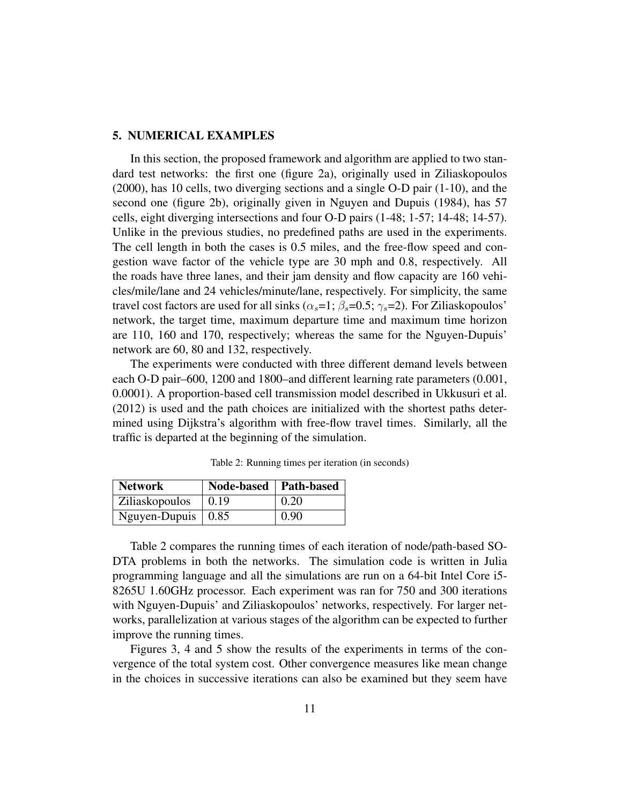## 5. NUMERICAL EXAMPLES

In this section, the proposed framework and algorithm are applied to two standard test networks: the first one (figure 2a), originally used in Ziliaskopoulos (2000), has 10 cells, two diverging sections and a single O-D pair (1-10), and the second one (figure 2b), originally given in Nguyen and Dupuis (1984), has 57 cells, eight diverging intersections and four O-D pairs (1-48; 1-57; 14-48; 14-57). Unlike in the previous studies, no predefined paths are used in the experiments. The cell length in both the cases is 0.5 miles, and the free-flow speed and congestion wave factor of the vehicle type are 30 mph and 0.8, respectively. All the roads have three lanes, and their jam density and flow capacity are 160 vehicles/mile/lane and 24 vehicles/minute/lane, respectively. For simplicity, the same travel cost factors are used for all sinks ( $\alpha_s=1$ ;  $\beta_s=0.5$ ;  $\gamma_s=2$ ). For Ziliaskopoulos' network, the target time, maximum departure time and maximum time horizon are 110, 160 and 170, respectively; whereas the same for the Nguyen-Dupuis' network are 60, 80 and 132, respectively.

The experiments were conducted with three different demand levels between each O-D pair–600, 1200 and 1800–and different learning rate parameters (0.001, 0.0001). A proportion-based cell transmission model described in Ukkusuri et al. (2012) is used and the path choices are initialized with the shortest paths determined using Dijkstra's algorithm with free-flow travel times. Similarly, all the traffic is departed at the beginning of the simulation.

| <b>Network</b>                   | Node-based   Path-based |      |
|----------------------------------|-------------------------|------|
| Ziliaskopoulos                   | 0.19                    | 0.20 |
| Nguyen-Dupuis $\vert 0.85 \vert$ |                         | 0.90 |

Table 2: Running times per iteration (in seconds)

Table 2 compares the running times of each iteration of node/path-based SO-DTA problems in both the networks. The simulation code is written in Julia programming language and all the simulations are run on a 64-bit Intel Core i5- 8265U 1.60GHz processor. Each experiment was ran for 750 and 300 iterations with Nguyen-Dupuis' and Ziliaskopoulos' networks, respectively. For larger networks, parallelization at various stages of the algorithm can be expected to further improve the running times.

Figures 3, 4 and 5 show the results of the experiments in terms of the convergence of the total system cost. Other convergence measures like mean change in the choices in successive iterations can also be examined but they seem have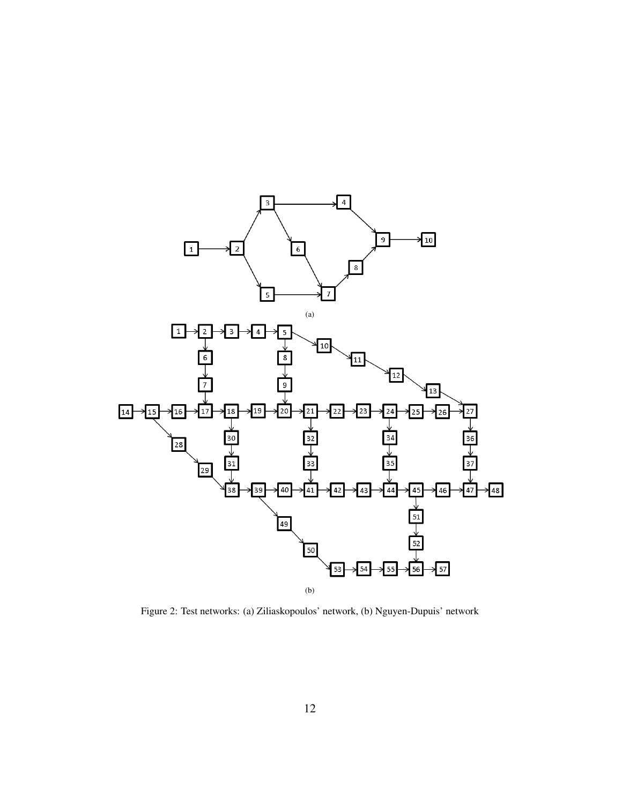

Figure 2: Test networks: (a) Ziliaskopoulos' network, (b) Nguyen-Dupuis' network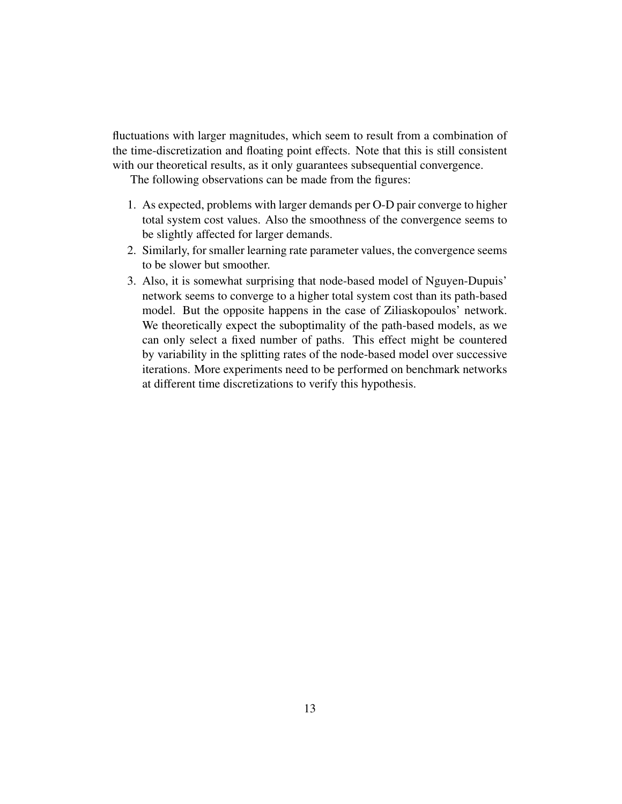fluctuations with larger magnitudes, which seem to result from a combination of the time-discretization and floating point effects. Note that this is still consistent with our theoretical results, as it only guarantees subsequential convergence.

The following observations can be made from the figures:

- 1. As expected, problems with larger demands per O-D pair converge to higher total system cost values. Also the smoothness of the convergence seems to be slightly affected for larger demands.
- 2. Similarly, for smaller learning rate parameter values, the convergence seems to be slower but smoother.
- 3. Also, it is somewhat surprising that node-based model of Nguyen-Dupuis' network seems to converge to a higher total system cost than its path-based model. But the opposite happens in the case of Ziliaskopoulos' network. We theoretically expect the suboptimality of the path-based models, as we can only select a fixed number of paths. This effect might be countered by variability in the splitting rates of the node-based model over successive iterations. More experiments need to be performed on benchmark networks at different time discretizations to verify this hypothesis.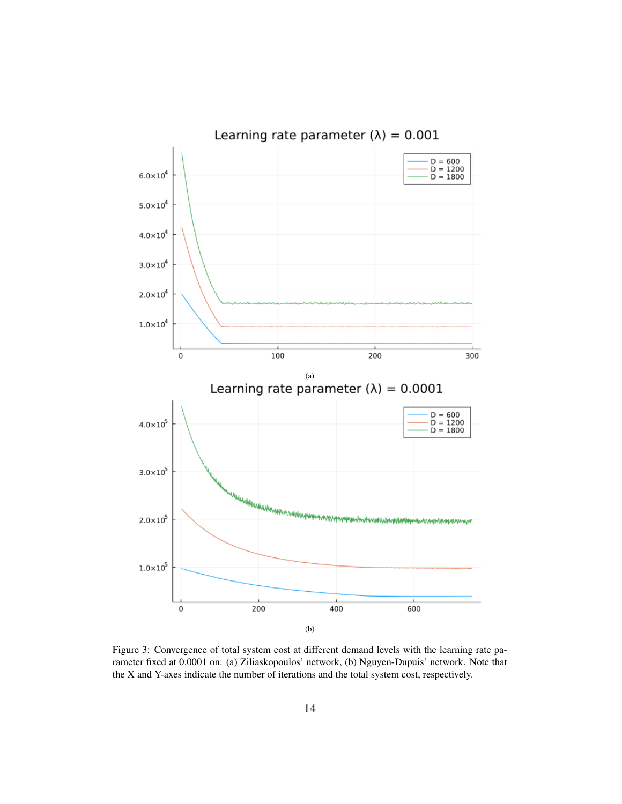

Figure 3: Convergence of total system cost at different demand levels with the learning rate parameter fixed at 0.0001 on: (a) Ziliaskopoulos' network, (b) Nguyen-Dupuis' network. Note that the X and Y-axes indicate the number of iterations and the total system cost, respectively.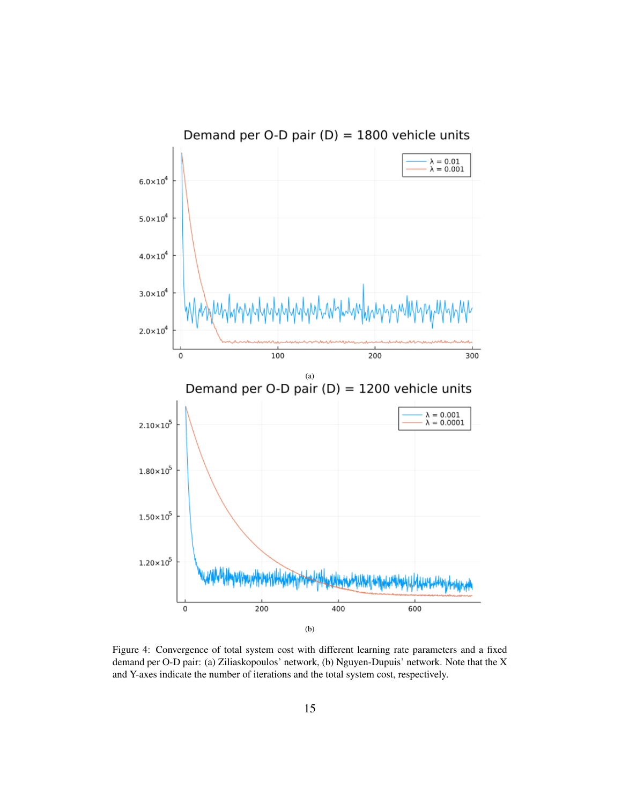

Figure 4: Convergence of total system cost with different learning rate parameters and a fixed demand per O-D pair: (a) Ziliaskopoulos' network, (b) Nguyen-Dupuis' network. Note that the X and Y-axes indicate the number of iterations and the total system cost, respectively.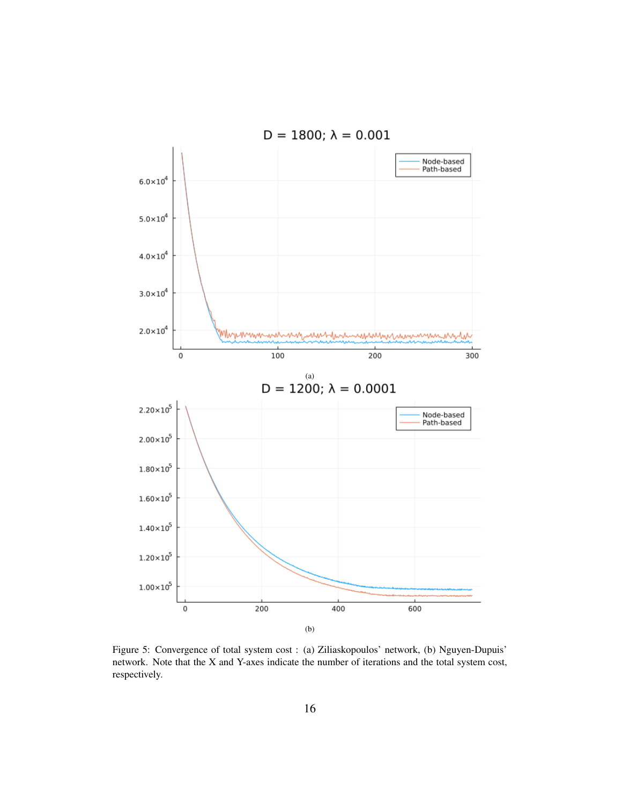

Figure 5: Convergence of total system cost : (a) Ziliaskopoulos' network, (b) Nguyen-Dupuis' network. Note that the X and Y-axes indicate the number of iterations and the total system cost, respectively.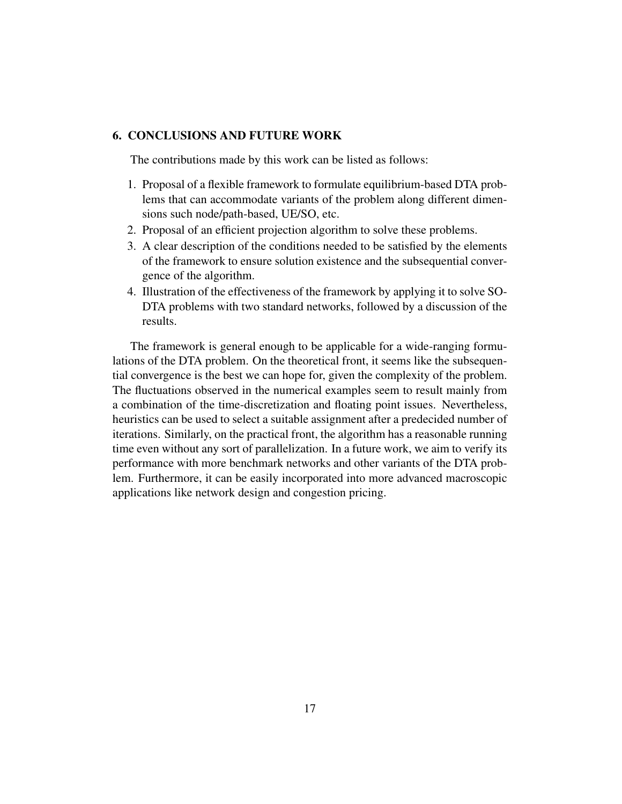## 6. CONCLUSIONS AND FUTURE WORK

The contributions made by this work can be listed as follows:

- 1. Proposal of a flexible framework to formulate equilibrium-based DTA problems that can accommodate variants of the problem along different dimensions such node/path-based, UE/SO, etc.
- 2. Proposal of an efficient projection algorithm to solve these problems.
- 3. A clear description of the conditions needed to be satisfied by the elements of the framework to ensure solution existence and the subsequential convergence of the algorithm.
- 4. Illustration of the effectiveness of the framework by applying it to solve SO-DTA problems with two standard networks, followed by a discussion of the results.

The framework is general enough to be applicable for a wide-ranging formulations of the DTA problem. On the theoretical front, it seems like the subsequential convergence is the best we can hope for, given the complexity of the problem. The fluctuations observed in the numerical examples seem to result mainly from a combination of the time-discretization and floating point issues. Nevertheless, heuristics can be used to select a suitable assignment after a predecided number of iterations. Similarly, on the practical front, the algorithm has a reasonable running time even without any sort of parallelization. In a future work, we aim to verify its performance with more benchmark networks and other variants of the DTA problem. Furthermore, it can be easily incorporated into more advanced macroscopic applications like network design and congestion pricing.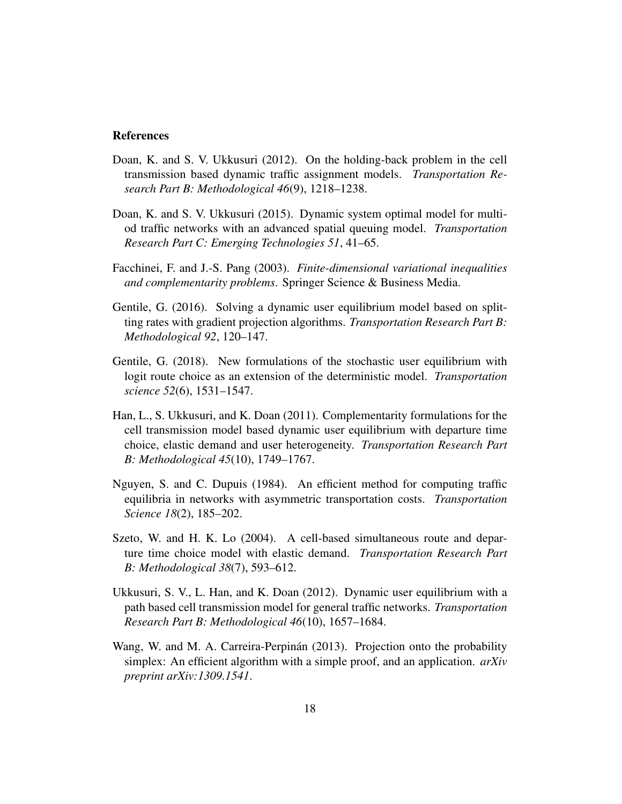#### References

- Doan, K. and S. V. Ukkusuri (2012). On the holding-back problem in the cell transmission based dynamic traffic assignment models. *Transportation Research Part B: Methodological 46*(9), 1218–1238.
- Doan, K. and S. V. Ukkusuri (2015). Dynamic system optimal model for multiod traffic networks with an advanced spatial queuing model. *Transportation Research Part C: Emerging Technologies 51*, 41–65.
- Facchinei, F. and J.-S. Pang (2003). *Finite-dimensional variational inequalities and complementarity problems*. Springer Science & Business Media.
- Gentile, G. (2016). Solving a dynamic user equilibrium model based on splitting rates with gradient projection algorithms. *Transportation Research Part B: Methodological 92*, 120–147.
- Gentile, G. (2018). New formulations of the stochastic user equilibrium with logit route choice as an extension of the deterministic model. *Transportation science 52*(6), 1531–1547.
- Han, L., S. Ukkusuri, and K. Doan (2011). Complementarity formulations for the cell transmission model based dynamic user equilibrium with departure time choice, elastic demand and user heterogeneity. *Transportation Research Part B: Methodological 45*(10), 1749–1767.
- Nguyen, S. and C. Dupuis (1984). An efficient method for computing traffic equilibria in networks with asymmetric transportation costs. *Transportation Science 18*(2), 185–202.
- Szeto, W. and H. K. Lo (2004). A cell-based simultaneous route and departure time choice model with elastic demand. *Transportation Research Part B: Methodological 38*(7), 593–612.
- Ukkusuri, S. V., L. Han, and K. Doan (2012). Dynamic user equilibrium with a path based cell transmission model for general traffic networks. *Transportation Research Part B: Methodological 46*(10), 1657–1684.
- Wang, W. and M. A. Carreira-Perpinan (2013). Projection onto the probability simplex: An efficient algorithm with a simple proof, and an application. *arXiv preprint arXiv:1309.1541*.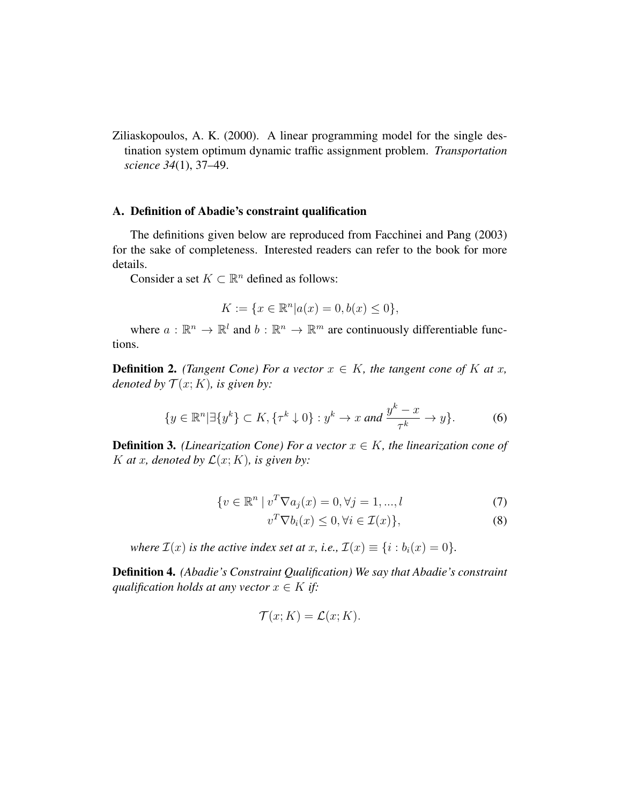Ziliaskopoulos, A. K. (2000). A linear programming model for the single destination system optimum dynamic traffic assignment problem. *Transportation science 34*(1), 37–49.

#### A. Definition of Abadie's constraint qualification

The definitions given below are reproduced from Facchinei and Pang (2003) for the sake of completeness. Interested readers can refer to the book for more details.

Consider a set  $K \subset \mathbb{R}^n$  defined as follows:

$$
K := \{ x \in \mathbb{R}^n | a(x) = 0, b(x) \le 0 \},
$$

where  $a : \mathbb{R}^n \to \mathbb{R}^l$  and  $b : \mathbb{R}^n \to \mathbb{R}^m$  are continuously differentiable functions.

**Definition 2.** *(Tangent Cone) For a vector*  $x \in K$ *, the tangent cone of* K at x, *denoted by*  $\mathcal{T}(x; K)$ *, is given by:* 

$$
\{y \in \mathbb{R}^n | \exists \{y^k\} \subset K, \{\tau^k \downarrow 0\} : y^k \to x \text{ and } \frac{y^k - x}{\tau^k} \to y\}.
$$
 (6)

**Definition 3.** *(Linearization Cone) For a vector*  $x \in K$ *, the linearization cone of* K at x, denoted by  $\mathcal{L}(x; K)$ , is given by:

$$
\{v \in \mathbb{R}^n \mid v^T \nabla a_j(x) = 0, \forall j = 1, ..., l \tag{7}
$$

$$
v^T \nabla b_i(x) \le 0, \forall i \in \mathcal{I}(x) \},\tag{8}
$$

*where*  $\mathcal{I}(x)$  *is the active index set at x, i.e.,*  $\mathcal{I}(x) \equiv \{i : b_i(x) = 0\}$ *.* 

Definition 4. *(Abadie's Constraint Qualification) We say that Abadie's constraint qualification holds at any vector*  $x \in K$  *if:* 

$$
\mathcal{T}(x;K) = \mathcal{L}(x;K).
$$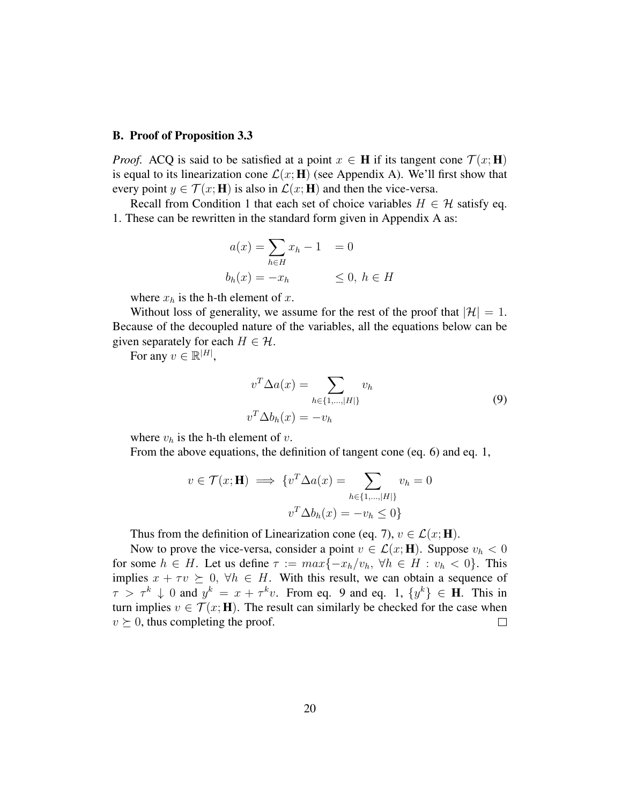#### B. Proof of Proposition 3.3

*Proof.* ACQ is said to be satisfied at a point  $x \in H$  if its tangent cone  $\mathcal{T}(x; H)$ is equal to its linearization cone  $\mathcal{L}(x; \mathbf{H})$  (see Appendix A). We'll first show that every point  $y \in \mathcal{T}(x; \mathbf{H})$  is also in  $\mathcal{L}(x; \mathbf{H})$  and then the vice-versa.

Recall from Condition 1 that each set of choice variables  $H \in \mathcal{H}$  satisfy eq. 1. These can be rewritten in the standard form given in Appendix A as:

$$
a(x) = \sum_{h \in H} x_h - 1 = 0
$$
  

$$
b_h(x) = -x_h \leq 0, h \in H
$$

where  $x_h$  is the h-th element of  $x$ .

Without loss of generality, we assume for the rest of the proof that  $|\mathcal{H}| = 1$ . Because of the decoupled nature of the variables, all the equations below can be given separately for each  $H \in \mathcal{H}$ .

For any  $v \in \mathbb{R}^{|H|}$ ,

$$
v^T \Delta a(x) = \sum_{h \in \{1, \dots, |H|\}} v_h
$$
  

$$
v^T \Delta b_h(x) = -v_h
$$
 (9)

where  $v_h$  is the h-th element of v.

From the above equations, the definition of tangent cone (eq. 6) and eq. 1,

$$
v \in \mathcal{T}(x; \mathbf{H}) \implies \{v^T \Delta a(x) = \sum_{h \in \{1, \dots, |H|\}} v_h = 0
$$

$$
v^T \Delta b_h(x) = -v_h \le 0\}
$$

Thus from the definition of Linearization cone (eq. 7),  $v \in \mathcal{L}(x; \mathbf{H})$ .

Now to prove the vice-versa, consider a point  $v \in \mathcal{L}(x; \mathbf{H})$ . Suppose  $v_h < 0$ for some  $h \in H$ . Let us define  $\tau := \max\{-x_h/v_h, \forall h \in H : v_h < 0\}$ . This implies  $x + \tau v \succeq 0$ ,  $\forall h \in H$ . With this result, we can obtain a sequence of  $\tau > \tau^k \downarrow 0$  and  $y^k = x + \tau^k v$ . From eq. 9 and eq. 1,  $\{y^k\} \in \mathbf{H}$ . This in turn implies  $v \in \mathcal{T}(x; \mathbf{H})$ . The result can similarly be checked for the case when  $v \succeq 0$ , thus completing the proof.  $\Box$